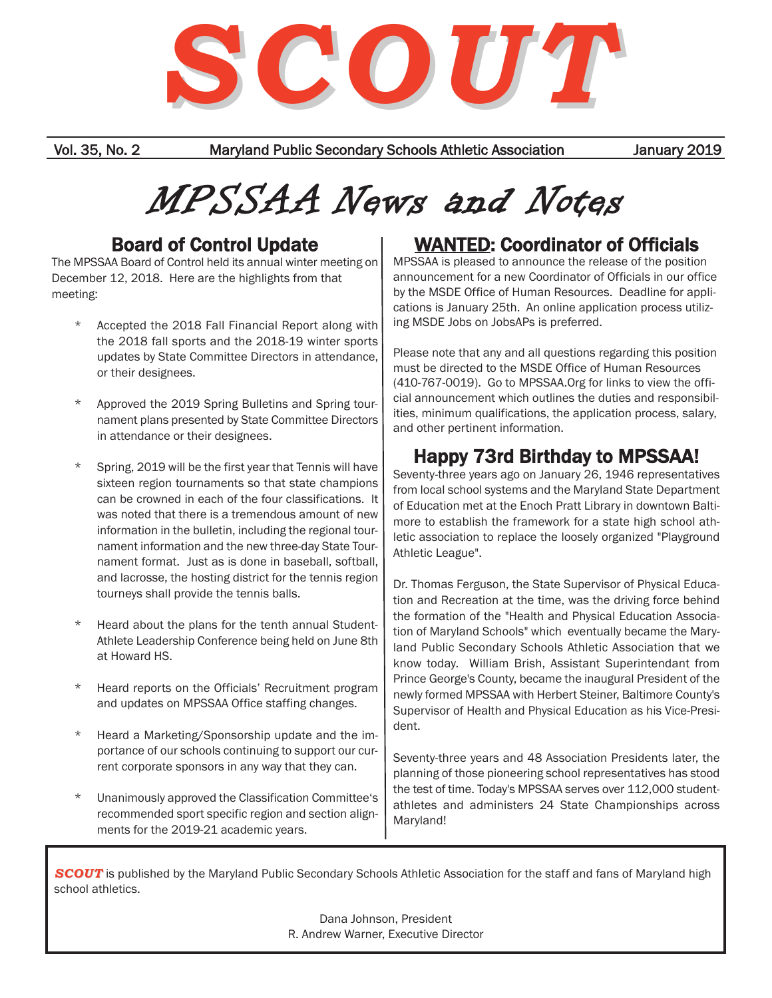

Vol. 35, No. 2 Maryland Public Secondary Schools Athletic Association January 2019

# MPSSAA News and Notes

## Board of Control Update

The MPSSAA Board of Control held its annual winter meeting on December 12, 2018. Here are the highlights from that meeting:

- \* Accepted the 2018 Fall Financial Report along with the 2018 fall sports and the 2018-19 winter sports updates by State Committee Directors in attendance, or their designees.
- Approved the 2019 Spring Bulletins and Spring tournament plans presented by State Committee Directors in attendance or their designees.
- Spring, 2019 will be the first year that Tennis will have sixteen region tournaments so that state champions can be crowned in each of the four classifications. It was noted that there is a tremendous amount of new information in the bulletin, including the regional tournament information and the new three-day State Tournament format. Just as is done in baseball, softball, and lacrosse, the hosting district for the tennis region tourneys shall provide the tennis balls.
- Heard about the plans for the tenth annual Student-Athlete Leadership Conference being held on June 8th at Howard HS.
- \* Heard reports on the Officials' Recruitment program and updates on MPSSAA Office staffing changes.
- \* Heard a Marketing/Sponsorship update and the importance of our schools continuing to support our current corporate sponsors in any way that they can.
- Unanimously approved the Classification Committee's recommended sport specific region and section alignments for the 2019-21 academic years.

## WANTED: Coordinator of Officials

MPSSAA is pleased to announce the release of the position announcement for a new Coordinator of Officials in our office by the MSDE Office of Human Resources. Deadline for applications is January 25th. An online application process utilizing MSDE Jobs on JobsAPs is preferred.

Please note that any and all questions regarding this position must be directed to the MSDE Office of Human Resources (410-767-0019). Go to MPSSAA.Org for links to view the official announcement which outlines the duties and responsibilities, minimum qualifications, the application process, salary, and other pertinent information.

# Happy 73rd Birthday to MPSSAA!

Seventy-three years ago on January 26, 1946 representatives from local school systems and the Maryland State Department of Education met at the Enoch Pratt Library in downtown Baltimore to establish the framework for a state high school athletic association to replace the loosely organized "Playground Athletic League".

Dr. Thomas Ferguson, the State Supervisor of Physical Education and Recreation at the time, was the driving force behind the formation of the "Health and Physical Education Association of Maryland Schools" which eventually became the Maryland Public Secondary Schools Athletic Association that we know today. William Brish, Assistant Superintendant from Prince George's County, became the inaugural President of the newly formed MPSSAA with Herbert Steiner, Baltimore County's Supervisor of Health and Physical Education as his Vice-President.

Seventy-three years and 48 Association Presidents later, the planning of those pioneering school representatives has stood the test of time. Today's MPSSAA serves over 112,000 studentathletes and administers 24 State Championships across Maryland!

**SCOUT** is published by the Maryland Public Secondary Schools Athletic Association for the staff and fans of Maryland high school athletics.

> Dana Johnson, President R. Andrew Warner, Executive Director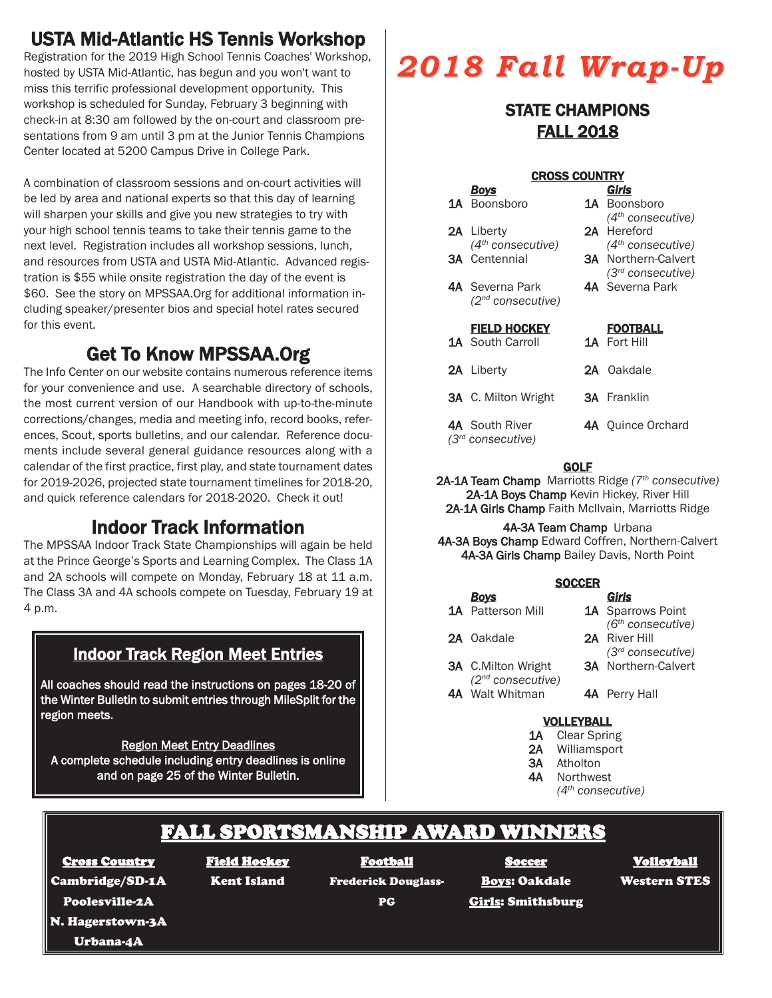# USTA Mid-Atlantic HS Tennis Workshop

Registration for the 2019 High School Tennis Coaches' Workshop, hosted by USTA Mid-Atlantic, has begun and you won't want to miss this terrific professional development opportunity. This workshop is scheduled for Sunday, February 3 beginning with check-in at 8:30 am followed by the on-court and classroom presentations from 9 am until 3 pm at the Junior Tennis Champions Center located at 5200 Campus Drive in College Park.

A combination of classroom sessions and on-court activities will be led by area and national experts so that this day of learning will sharpen your skills and give you new strategies to try with your high school tennis teams to take their tennis game to the next level. Registration includes all workshop sessions, lunch, and resources from USTA and USTA Mid-Atlantic. Advanced registration is \$55 while onsite registration the day of the event is \$60. See the story on MPSSAA.Org for additional information including speaker/presenter bios and special hotel rates secured for this event.

# Get To Know MPSSAA.Org

The Info Center on our website contains numerous reference items for your convenience and use. A searchable directory of schools, the most current version of our Handbook with up-to-the-minute corrections/changes, media and meeting info, record books, references, Scout, sports bulletins, and our calendar. Reference documents include several general guidance resources along with a calendar of the first practice, first play, and state tournament dates for 2019-2026, projected state tournament timelines for 2018-20, and quick reference calendars for 2018-2020. Check it out!

# Indoor Track Information

The MPSSAA Indoor Track State Championships will again be held at the Prince George's Sports and Learning Complex. The Class 1A and 2A schools will compete on Monday, February 18 at 11 a.m. The Class 3A and 4A schools compete on Tuesday, February 19 at 4 p.m.

## Indoor Track Region Meet Entries

All coaches should read the instructions on pages 18-20 of the Winter Bulletin to submit entries through MileSplit for the region meets.

Region Meet Entry Deadlines A complete schedule including entry deadlines is online and on page 25 of the Winter Bulletin.

# *2018 Fall Wrap-Up 2018 Fall Wrap-Up*

### STATE CHAMPIONS FALL 2018

| <b>CROSS COUNTRY</b> |                                                      |  |                                                                                              |  |  |  |  |  |
|----------------------|------------------------------------------------------|--|----------------------------------------------------------------------------------------------|--|--|--|--|--|
|                      | <u>Boys</u>                                          |  | Girls                                                                                        |  |  |  |  |  |
|                      | 1A Boonsboro                                         |  | <b>1A</b> Boonsboro                                                                          |  |  |  |  |  |
|                      | <b>2A</b> Liberty                                    |  | $(4th \text{ consecutive})$<br>2A Hereford                                                   |  |  |  |  |  |
|                      | $(4th \text{ consecutive})$<br><b>3A</b> Centennial  |  | (4 <sup>th</sup> consecutive)<br><b>3A</b> Northern-Calvert<br>(3 <sup>rd</sup> consecutive) |  |  |  |  |  |
|                      | <b>4A</b> Severna Park<br>$(2^{nd}$ consecutive)     |  | <b>4A</b> Severna Park                                                                       |  |  |  |  |  |
|                      | <b>FIELD HOCKEY</b>                                  |  | <b>FOOTBALL</b>                                                                              |  |  |  |  |  |
|                      | <b>1A</b> South Carroll                              |  | <b>1A</b> Fort Hill                                                                          |  |  |  |  |  |
|                      | <b>2A</b> Liberty                                    |  | 2A Oakdale                                                                                   |  |  |  |  |  |
|                      | <b>3A</b> C. Milton Wright                           |  | <b>3A</b> Franklin                                                                           |  |  |  |  |  |
|                      | <b>4A</b> South River<br>$(3rd \text{ consecutive})$ |  | <b>4A</b> Ouince Orchard                                                                     |  |  |  |  |  |

#### **GOLF**

2A-1A Team Champ Marriotts Ridge *(7th consecutive)* 2A-1A Boys Champ Kevin Hickey, River Hill 2A-1A Girls Champ Faith McIlvain, Marriotts Ridge

4A-3A Team Champ Urbana 4A-3A Boys Champ Edward Coffren, Northern-Calvert 4A-3A Girls Champ Bailey Davis, North Point

| <b>SOCCER</b> |                               |  |                               |  |  |  |  |  |
|---------------|-------------------------------|--|-------------------------------|--|--|--|--|--|
|               | <b>Boys</b>                   |  | Girls                         |  |  |  |  |  |
|               | <b>1A</b> Patterson Mill      |  | 1A Sparrows Point             |  |  |  |  |  |
|               |                               |  | (6 <sup>th</sup> consecutive) |  |  |  |  |  |
|               | 2A Oakdale                    |  | 2A River Hill                 |  |  |  |  |  |
|               |                               |  | (3 <sup>rd</sup> consecutive) |  |  |  |  |  |
|               | 3A C.Milton Wright            |  | <b>3A</b> Northern-Calvert    |  |  |  |  |  |
|               | (2 <sup>nd</sup> consecutive) |  |                               |  |  |  |  |  |
|               | 4A Walt Whitman               |  | <b>4A</b> Perry Hall          |  |  |  |  |  |
|               |                               |  |                               |  |  |  |  |  |
|               |                               |  |                               |  |  |  |  |  |

#### VOLLEYBALL

- 1A Clear Spring
- 2A Williamsport
- 3A Atholton
- 4A Northwest
	- *(4th consecutive)*

# FALL SPORTSMANSHIP AWARD WINNERS

Cross Country Cambridge/SD-1A

#### Field Hockey

Kent Island

Football Frederick Douglass-

PG

**Soccer** Boys: Oakdale **Girls: Smithsburg**  Volleyball

Western STES

Poolesville-2A

N. Hagerstown-3A

Urbana-4A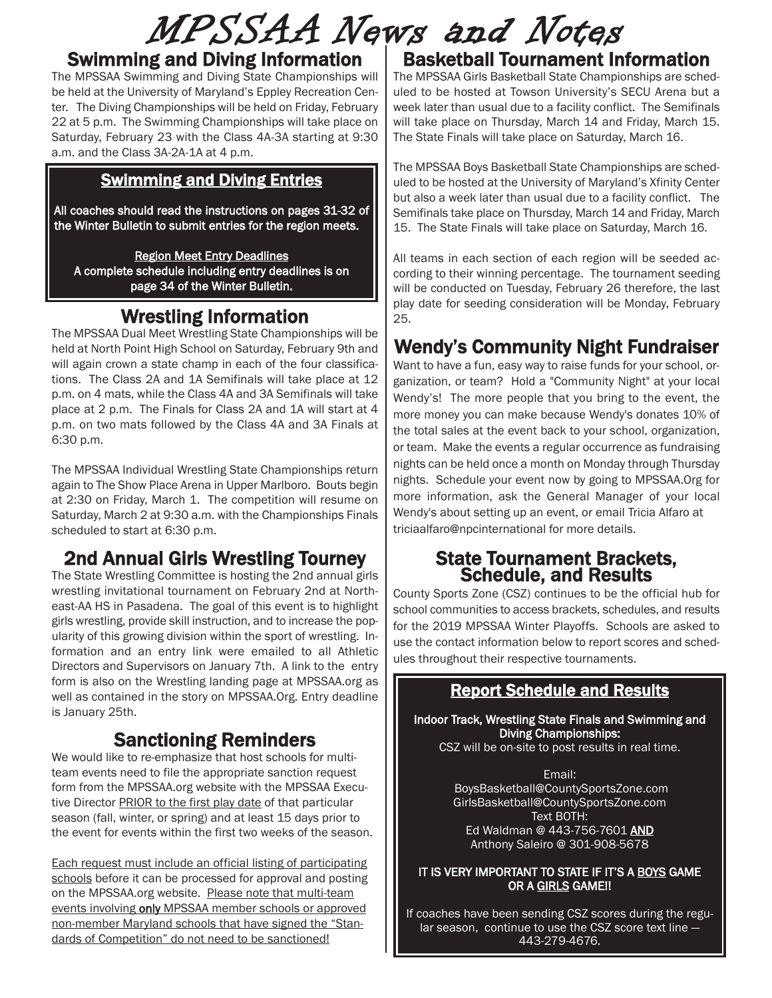# MPSSAA News and Notes

#### Swimming and Diving Information

The MPSSAA Swimming and Diving State Championships will be held at the University of Maryland's Eppley Recreation Center. The Diving Championships will be held on Friday, February 22 at 5 p.m. The Swimming Championships will take place on Saturday, February 23 with the Class 4A-3A starting at 9:30 a.m. and the Class 3A-2A-1A at 4 p.m.

#### Swimming and Diving Entries

All coaches should read the instructions on pages 31-32 of the Winter Bulletin to submit entries for the region meets.

Region Meet Entry Deadlines

A complete schedule including entry deadlines is on page 34 of the Winter Bulletin.

# Wrestling Information

The MPSSAA Dual Meet Wrestling State Championships will be held at North Point High School on Saturday, February 9th and will again crown a state champ in each of the four classifications. The Class 2A and 1A Semifinals will take place at 12 p.m. on 4 mats, while the Class 4A and 3A Semifinals will take place at 2 p.m. The Finals for Class 2A and 1A will start at 4 p.m. on two mats followed by the Class 4A and 3A Finals at 6:30 p.m.

The MPSSAA Individual Wrestling State Championships return again to The Show Place Arena in Upper Marlboro. Bouts begin at 2:30 on Friday, March 1. The competition will resume on Saturday, March 2 at 9:30 a.m. with the Championships Finals scheduled to start at 6:30 p.m.

## 2nd Annual Girls Wrestling Tourney

The State Wrestling Committee is hosting the 2nd annual girls wrestling invitational tournament on February 2nd at Northeast-AA HS in Pasadena. The goal of this event is to highlight girls wrestling, provide skill instruction, and to increase the popularity of this growing division within the sport of wrestling. Information and an entry link were emailed to all Athletic Directors and Supervisors on January 7th. A link to the entry form is also on the Wrestling landing page at MPSSAA.org as well as contained in the story on MPSSAA.Org. Entry deadline is January 25th.

## Sanctioning Reminders

We would like to re-emphasize that host schools for multiteam events need to file the appropriate sanction request form from the MPSSAA.org website with the MPSSAA Executive Director PRIOR to the first play date of that particular season (fall, winter, or spring) and at least 15 days prior to the event for events within the first two weeks of the season.

Each request must include an official listing of participating schools before it can be processed for approval and posting on the MPSSAA.org website. Please note that multi-team events involving only MPSSAA member schools or approved non-member Maryland schools that have signed the "Standards of Competition" do not need to be sanctioned!

# Basketball Tournament Information

The MPSSAA Girls Basketball State Championships are scheduled to be hosted at Towson University's SECU Arena but a week later than usual due to a facility conflict. The Semifinals will take place on Thursday, March 14 and Friday, March 15. The State Finals will take place on Saturday, March 16.

The MPSSAA Boys Basketball State Championships are scheduled to be hosted at the University of Maryland's Xfinity Center but also a week later than usual due to a facility conflict. The Semifinals take place on Thursday, March 14 and Friday, March 15. The State Finals will take place on Saturday, March 16.

All teams in each section of each region will be seeded according to their winning percentage. The tournament seeding will be conducted on Tuesday, February 26 therefore, the last play date for seeding consideration will be Monday, February 25.

# Wendy's Community Night Fundraiser

Want to have a fun, easy way to raise funds for your school, organization, or team? Hold a "Community Night" at your local Wendy's! The more people that you bring to the event, the more money you can make because Wendy's donates 10% of the total sales at the event back to your school, organization, or team. Make the events a regular occurrence as fundraising nights can be held once a month on Monday through Thursday nights. Schedule your event now by going to MPSSAA.Org for more information, ask the General Manager of your local Wendy's about setting up an event, or email Tricia Alfaro at triciaalfaro@npcinternational for more details.

# State Tournament Brackets, Schedule, and Results

County Sports Zone (CSZ) continues to be the official hub for school communities to access brackets, schedules, and results for the 2019 MPSSAA Winter Playoffs. Schools are asked to use the contact information below to report scores and schedules throughout their respective tournaments.

#### Report Schedule and Results

Indoor Track, Wrestling State Finals and Swimming and Diving Championships:

CSZ will be on-site to post results in real time.

Email: BoysBasketball@CountySportsZone.com GirlsBasketball@CountySportsZone.com Text BOTH: Ed Waldman @ 443-756-7601 AND Anthony Saleiro @ 301-908-5678

#### IT IS VERY IMPORTANT TO STATE IF IT'S A BOYS GAME OR A GIRLS GAME!!

If coaches have been sending CSZ scores during the regular season, continue to use the CSZ score text line -443-279-4676.